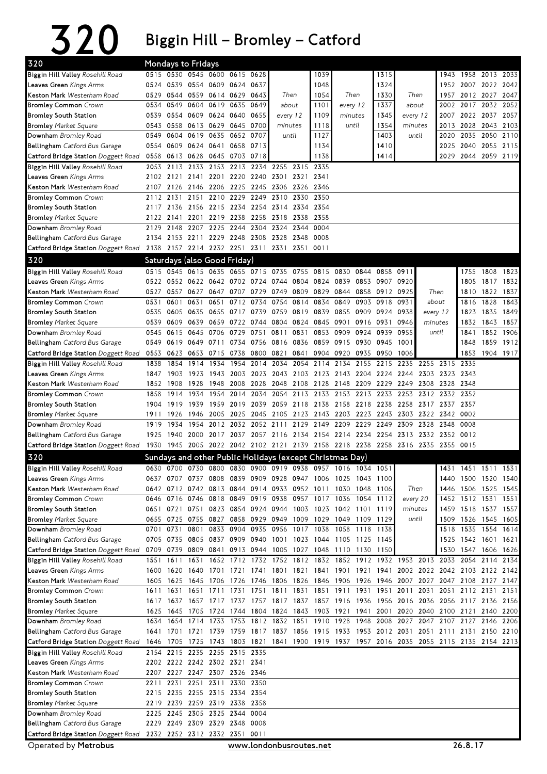## 320 Biggin Hill – Bromley – Catford

| 320                                                          |              | Mondays to Fridays                              |                |                |           |                     |                                                                |                           |                                                                                                                                                                    |                |                |                        |          |          |                |              |                     |           |
|--------------------------------------------------------------|--------------|-------------------------------------------------|----------------|----------------|-----------|---------------------|----------------------------------------------------------------|---------------------------|--------------------------------------------------------------------------------------------------------------------------------------------------------------------|----------------|----------------|------------------------|----------|----------|----------------|--------------|---------------------|-----------|
| Biggin Hill Valley Rosehill Road                             |              | 0515 0530 0545 0600 0615 0628                   |                |                |           |                     |                                                                |                           | 1039                                                                                                                                                               |                |                | 1315                   |          |          | 1943           |              | 1958 2013 2033      |           |
| <b>Leaves Green</b> Kings Arms                               |              | 0524 0539 0554 0609 0624 0637                   |                |                |           |                     |                                                                |                           | 1048                                                                                                                                                               |                |                | 1324                   |          |          |                |              | 1952 2007 2022 2042 |           |
| Keston Mark Westerham Road                                   | 0529         | 0544 0559 0614 0629 0643                        |                |                |           |                     | Then                                                           |                           | 1054                                                                                                                                                               | Then           |                | 1330                   | Then     |          | 1957           |              | 2012 2027 2047      |           |
| <b>Bromley Common Crown</b>                                  | 0534         |                                                 | 0549 0604      | 0619           | 0635      | 0649                |                                                                | 1101<br>about<br>every 12 |                                                                                                                                                                    |                | 1337           | about                  |          | 2002     |                | 2017 2032    | 2052                |           |
| <b>Bromley South Station</b>                                 | 0539         | 0554 0609 0624 0640 0655                        |                |                |           |                     | every 12                                                       |                           | 1109                                                                                                                                                               | minutes        |                | 1345                   | every 12 |          |                |              | 2007 2022 2037 2057 |           |
| <b>Bromley</b> Market Square                                 | 0543         |                                                 |                | 0558 0613 0629 | 0645 0700 |                     | minutes                                                        |                           | 1118                                                                                                                                                               | until          |                | 1354                   | minutes  |          |                | 2013 2028    | 2043 2103           |           |
| Downham Bromley Road                                         | 0549         |                                                 | 0604 0619 0635 |                | 0652 0707 |                     |                                                                | until                     | 1127                                                                                                                                                               |                |                | 1403                   | until    |          | 2020           | 2035         | 2050                | 2110      |
| Bellingham Catford Bus Garage                                |              | 0554 0609 0624 0641                             |                |                |           | 0658 0713           |                                                                |                           | 1134                                                                                                                                                               |                |                | 1410                   |          |          |                | 2025 2040    | 2055                | 2115      |
| <b>Catford Bridge Station</b> Doggett Road                   |              | 0558 0613 0628                                  |                | 0645 0703 0718 |           |                     |                                                                |                           | 1138                                                                                                                                                               |                |                | 1414                   |          |          |                | 2029 2044    | 2059 2119           |           |
| Biggin Hill Valley Rosehill Road                             | 2053         | 2113                                            | 2133           | 2153           |           | 2213 2234 2255      |                                                                | 2315 2335                 |                                                                                                                                                                    |                |                |                        |          |          |                |              |                     |           |
| Leaves Green Kings Arms                                      |              | 2102 2121 2141                                  |                |                |           | 2201 2220 2240 2301 |                                                                | 2321 2341                 |                                                                                                                                                                    |                |                |                        |          |          |                |              |                     |           |
| Keston Mark Westerham Road                                   |              |                                                 |                |                |           |                     | 2107 2126 2146 2206 2225 2245 2306 2326 2346                   |                           |                                                                                                                                                                    |                |                |                        |          |          |                |              |                     |           |
| <b>Bromley Common Crown</b>                                  |              |                                                 |                |                |           |                     | 2112 2131 2151 2210 2229 2249 2310 2330 2350                   |                           |                                                                                                                                                                    |                |                |                        |          |          |                |              |                     |           |
| <b>Bromley South Station</b>                                 |              | 2117 2136 2156 2215 2234 2254                   |                |                |           |                     | 2314                                                           | 2334 2354                 |                                                                                                                                                                    |                |                |                        |          |          |                |              |                     |           |
| <b>Bromley</b> Market Square                                 | 2129         | 2122 2141 2201 2219 2238 2258<br>2148 2207 2225 |                |                | 2244      | 2304                | 2318 2338 2358<br>2324                                         | 2344                      | 0004                                                                                                                                                               |                |                |                        |          |          |                |              |                     |           |
| Downham Bromley Road                                         |              | 2134 2153 2211 2229 2248 2308 2328              |                |                |           |                     |                                                                | 2348 0008                 |                                                                                                                                                                    |                |                |                        |          |          |                |              |                     |           |
| Bellingham Catford Bus Garage                                |              | 2138 2157 2214 2232 2251 2311                   |                |                |           |                     | 2331                                                           | 2351                      | 0011                                                                                                                                                               |                |                |                        |          |          |                |              |                     |           |
| Catford Bridge Station Doggett Road                          |              |                                                 |                |                |           |                     |                                                                |                           |                                                                                                                                                                    |                |                |                        |          |          |                |              |                     |           |
| 320                                                          |              | Saturdays (also Good Friday)                    |                |                |           |                     |                                                                |                           |                                                                                                                                                                    |                |                |                        |          |          |                |              |                     |           |
| Biggin Hill Valley Rosehill Road                             | 0515         | 0545 0615 0635                                  |                |                |           | 0655 0715 0735      |                                                                | 0755                      | 0815                                                                                                                                                               | 0830           | 0844           | 0858                   | 0911     |          |                | 1755         | 1808                | 1823      |
| <b>Leaves Green</b> Kings Arms                               |              | 0522 0552 0622 0642 0702 0724                   |                |                |           |                     |                                                                |                           | 0744 0804 0824                                                                                                                                                     | 0839           |                | 0853 0907              | 0920     |          |                | 1805         | 1817 1832           |           |
| Keston Mark Westerham Road<br><b>Bromley Common Crown</b>    |              | 0601                                            | 0631           | 0651           |           | 0712 0734           | 0527 0557 0627 0647 0707 0729 0749 0809 0829<br>0754 0814 0834 |                           |                                                                                                                                                                    | 0844<br>0849   | 0903           | 0858 0912 0925<br>0918 | 0931     |          | Then           | 1810         | 1822 1837           | 1843      |
| <b>Bromley South Station</b>                                 | 0531<br>0535 | 0605                                            | 0635           | 0655           | 0717      | 0739                | 0759                                                           | 0819 0839                 |                                                                                                                                                                    | 0855           |                | 0909 0924              | 0938     | every 12 | about          | 1816<br>1823 | 1828<br>1835        | 1849      |
| <b>Bromley</b> Market Square                                 | 0539         | 0609                                            | 0639           | 0659           |           | 0722 0744           |                                                                |                           | 0804 0824 0845                                                                                                                                                     | 0901           |                | 0916 0931              | 0946     | minutes  |                | 1832         | 1843                | 1857      |
| Downham Bromley Road                                         | 0545         | 0615                                            | 0645           | 0706           | 0729      | 0751                | 0811                                                           | 0831                      | 0853                                                                                                                                                               | 0909           | 0924           | 0939                   | 0955     |          | until          | 1841         |                     | 1852 1906 |
| <b>Bellingham</b> Catford Bus Garage                         | 0549         | 0619 0649                                       |                | 0711           |           | 0734 0756           |                                                                |                           | 0816 0836 0859 0915                                                                                                                                                |                | 0930           | 0945                   | 1001     |          |                | 1848         | 1859                | 1912      |
| Catford Bridge Station Doggett Road                          |              | 0553 0623                                       | 0653           | 0715           | 0738 0800 |                     | 0821                                                           | 0841                      | 0904 0920                                                                                                                                                          |                |                | 0935 0950              | 1006     |          |                | 1853         | 1904 1917           |           |
| Biggin Hill Valley Rosehill Road                             | 1838         | 1854                                            |                | 1914 1934      |           |                     |                                                                |                           | 1954 2014 2034 2054 2114 2134 2155 2215 2235 2255 2315 2335                                                                                                        |                |                |                        |          |          |                |              |                     |           |
| Leaves Green Kings Arms                                      | 1847         | 1903                                            |                |                |           |                     |                                                                |                           | 1923 1943 2003 2023 2043 2103 2123 2143 2204 2224 2244                                                                                                             |                |                |                        |          |          | 2303 2323 2343 |              |                     |           |
| Keston Mark Westerham Road                                   | 1852         | 1908                                            | 1928           | 1948           |           | 2008 2028           |                                                                |                           | 2048 2108 2128 2148 2209 2229 2249                                                                                                                                 |                |                |                        |          |          | 2308 2328 2348 |              |                     |           |
| <b>Bromley Common Crown</b>                                  | 1858         | 1914                                            | 1934           | 1954           |           |                     |                                                                |                           | 2014 2034 2054 2113 2133 2153 2213 2233 2253                                                                                                                       |                |                |                        |          |          | 2312 2332 2352 |              |                     |           |
| <b>Bromley South Station</b>                                 |              | 1904 1919                                       | 1939           | 1959           |           | 2019 2039           |                                                                |                           | 2059 2118 2138 2158 2218 2238 2258                                                                                                                                 |                |                |                        |          | 2317     | 2337 2357      |              |                     |           |
| <b>Bromley</b> Market Square                                 | 1911         | 1926                                            | 1946           | 2005           |           | 2025 2045           |                                                                |                           | 2105 2123 2143 2203 2223 2243 2303                                                                                                                                 |                |                |                        |          | 2322     | 2342 0002      |              |                     |           |
| Downham Bromley Road                                         | 1919         | 1934                                            | 1954           |                |           | 2012 2032 2052 2111 |                                                                |                           | 2129 2149 2209 2229                                                                                                                                                |                |                | 2249 2309              |          | 2328     | 2348 0008      |              |                     |           |
| Bellingham Catford Bus Garage                                |              | 1925 1940 2000                                  |                |                |           |                     |                                                                |                           | 2017 2037 2057 2116 2134 2154 2214 2234 2254 2313 2332 2352 0012                                                                                                   |                |                |                        |          |          |                |              |                     |           |
| <b>Catford Bridge Station</b> Doggett Road                   |              |                                                 |                |                |           |                     |                                                                |                           | 1930 1945 2005 2022 2042 2102 2121 2139 2158 2218 2238 2258 2316 2335 2355 0015                                                                                    |                |                |                        |          |          |                |              |                     |           |
| 320                                                          |              |                                                 |                |                |           |                     |                                                                |                           | Sundays and other Public Holidays (except Christmas Day)                                                                                                           |                |                |                        |          |          |                |              |                     |           |
| Biggin Hill Valley Rosehill Road                             |              |                                                 |                |                |           |                     |                                                                |                           | 0630 0700 0730 0800 0830 0900 0919 0938 0957 1016 1034 1051                                                                                                        |                |                |                        |          |          |                |              | 1431 1451 1511 1531 |           |
| L <b>eaves Green</b> Kings Arms                              |              |                                                 |                |                |           |                     |                                                                |                           | 0637 0707 0737 0808 0839 0909 0928 0947 1006 1025 1043 1100                                                                                                        |                |                |                        |          |          |                |              | 1440 1500 1520 1540 |           |
| Keston Mark Westerham Road                                   |              |                                                 |                |                |           |                     |                                                                |                           | 0642 0712 0742 0813 0844 0914 0933 0952 1011 1030 1048 1106                                                                                                        |                |                |                        | Then     |          |                |              | 1446 1506 1525 1545 |           |
| <b>Bromley Common Crown</b>                                  |              |                                                 |                |                |           |                     |                                                                |                           | 0646 0716 0746 0818 0849 0919 0938 0957 1017 1036 1054 1112                                                                                                        |                |                |                        | every 20 |          |                |              | 1452 1512 1531 1551 |           |
| Bromley South Station                                        |              |                                                 |                |                |           |                     |                                                                |                           | 0651 0721 0751 0823 0854 0924 0944 1003 1023 1042 1101 1119                                                                                                        |                |                |                        | minutes  |          |                |              | 1459 1518 1537 1557 |           |
| <b>Bromley</b> Market Square                                 |              | 0655 0725                                       | 0755           |                |           |                     |                                                                |                           | 0827 0858 0929 0949 1009 1029                                                                                                                                      | 1049 1109 1129 |                |                        | until    |          | 1509           |              | 1526 1545 1605      |           |
| Downham Bromley Road                                         |              | 0701 0731                                       | 0801           |                |           |                     | 0833 0904 0935 0956 1017 1038                                  |                           |                                                                                                                                                                    |                | 1058 1118 1138 |                        |          |          |                |              | 1518 1535 1554 1614 |           |
| Bellingham Catford Bus Garage                                |              | 0705 0735 0805                                  |                |                |           |                     |                                                                |                           | 0837 0909 0940 1001 1023 1044 1105 1125 1145                                                                                                                       |                |                |                        |          |          |                |              | 1525 1542 1601 1621 |           |
| <b>Catford Bridge Station</b> Doggett Road                   |              |                                                 |                |                |           |                     |                                                                |                           | 0709 0739 0809 0841 0913 0944 1005 1027 1048 1110 1130 1150                                                                                                        |                |                |                        |          |          |                |              | 1530 1547 1606 1626 |           |
| Biggin Hill Valley Rosehill Road                             |              | 1551 1611                                       | 1631           |                |           |                     |                                                                |                           | 1652 1712 1732 1752 1812 1832 1852 1912 1932 1953 2013 2033 2054 2114                                                                                              |                |                |                        |          |          |                |              |                     | 2134      |
| Leaves Green Kings Arms                                      |              | 1600 1620                                       | 1640           |                |           |                     |                                                                |                           | 1701 1721 1741 1801 1821 1841 1901 1921 1941 2002 2022 2042 2103 2122 2142                                                                                         |                |                |                        |          |          |                |              |                     |           |
| Keston Mark Westerham Road                                   |              | 1605 1625                                       |                |                |           |                     |                                                                |                           | 1645 1706 1726 1746 1806 1826 1846 1906 1926 1946 2007 2027 2047 2108 2127 2147                                                                                    |                |                |                        |          |          |                |              |                     |           |
| <b>Bromley Common Crown</b>                                  |              |                                                 |                |                |           |                     |                                                                |                           | 1611 1631 1651 1711 1731 1751 1811 1831 1851 1911 1931 1951 2011 2031<br>1617 1637 1657 1717 1737 1757 1817 1837 1857 1916 1936 1956 2016 2036 2056 2117 2136 2156 |                |                |                        |          |          |                |              | 2051 2112 2131      | 2151      |
| <b>Bromley South Station</b><br><b>Bromley</b> Market Square |              |                                                 |                |                |           |                     |                                                                |                           | 1625 1645 1705 1724 1744 1804 1824 1843 1903 1921 1941 2001 2020 2040 2100 2121 2140 2200                                                                          |                |                |                        |          |          |                |              |                     |           |
| Downham Bromley Road                                         |              |                                                 |                |                |           |                     |                                                                |                           | 1634 1654 1714 1733 1753 1812 1832 1851 1910 1928 1948 2008 2027 2047 2107 2127 2146 2206                                                                          |                |                |                        |          |          |                |              |                     |           |
| Bellingham Catford Bus Garage                                |              |                                                 |                |                |           |                     |                                                                |                           | 1641 1701 1721 1739 1759 1817 1837 1856 1915 1933 1953 2012 2031 2051 2111 2131 2150 2210                                                                          |                |                |                        |          |          |                |              |                     |           |
| <b>Catford Bridge Station</b> Doggett Road                   |              | 1646 1705 1725                                  |                |                |           |                     |                                                                |                           | 1743 1803 1821 1841 1900 1919 1937 1957 2016 2035 2055 2115 2135 2154 2213                                                                                         |                |                |                        |          |          |                |              |                     |           |
| Biggin Hill Valley Rosehill Road                             |              | 2154 2215 2235 2255 2315 2335                   |                |                |           |                     |                                                                |                           |                                                                                                                                                                    |                |                |                        |          |          |                |              |                     |           |
| <b>Leaves Green</b> Kings Arms                               |              | 2202 2222 2242 2302 2321 2341                   |                |                |           |                     |                                                                |                           |                                                                                                                                                                    |                |                |                        |          |          |                |              |                     |           |
| Keston Mark Westerham Road                                   |              | 2207 2227 2247 2307 2326 2346                   |                |                |           |                     |                                                                |                           |                                                                                                                                                                    |                |                |                        |          |          |                |              |                     |           |
| <b>Bromley Common Crown</b>                                  |              | 2211 2231 2251 2311 2330 2350                   |                |                |           |                     |                                                                |                           |                                                                                                                                                                    |                |                |                        |          |          |                |              |                     |           |
| Bromley South Station                                        |              | 2215 2235 2255 2315 2334 2354                   |                |                |           |                     |                                                                |                           |                                                                                                                                                                    |                |                |                        |          |          |                |              |                     |           |
| <b>Bromley</b> Market Square                                 |              | 2219 2239 2259 2319 2338 2358                   |                |                |           |                     |                                                                |                           |                                                                                                                                                                    |                |                |                        |          |          |                |              |                     |           |
| Downham Bromley Road                                         |              | 2225 2245 2305 2325 2344 0004                   |                |                |           |                     |                                                                |                           |                                                                                                                                                                    |                |                |                        |          |          |                |              |                     |           |
| Bellingham Catford Bus Garage                                |              | 2229 2249 2309 2329 2348 0008                   |                |                |           |                     |                                                                |                           |                                                                                                                                                                    |                |                |                        |          |          |                |              |                     |           |
| Catford Bridge Station Doggett Road                          |              | 2232 2252 2312 2332 2351 0011                   |                |                |           |                     |                                                                |                           |                                                                                                                                                                    |                |                |                        |          |          |                |              |                     |           |